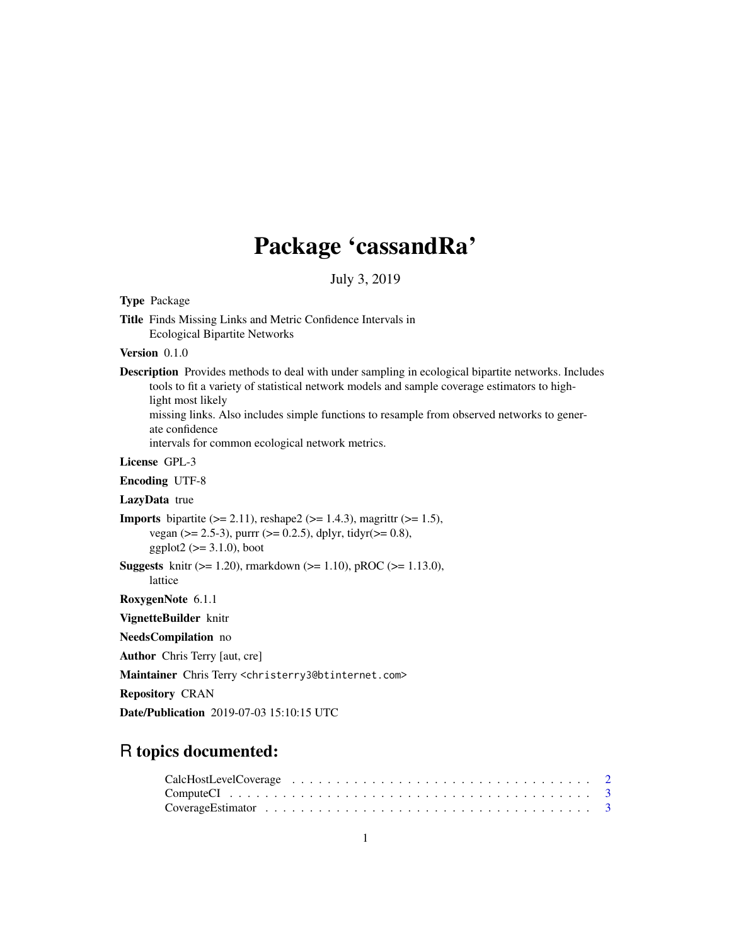# Package 'cassandRa'

July 3, 2019

<span id="page-0-0"></span>

| <b>Type Package</b>                                                                                                                                                                                                                                                                                                                                                                                 |
|-----------------------------------------------------------------------------------------------------------------------------------------------------------------------------------------------------------------------------------------------------------------------------------------------------------------------------------------------------------------------------------------------------|
| Title Finds Missing Links and Metric Confidence Intervals in<br><b>Ecological Bipartite Networks</b>                                                                                                                                                                                                                                                                                                |
| <b>Version</b> $0.1.0$                                                                                                                                                                                                                                                                                                                                                                              |
| <b>Description</b> Provides methods to deal with under sampling in ecological bipartite networks. Includes<br>tools to fit a variety of statistical network models and sample coverage estimators to high-<br>light most likely<br>missing links. Also includes simple functions to resample from observed networks to gener-<br>ate confidence<br>intervals for common ecological network metrics. |
| License GPL-3                                                                                                                                                                                                                                                                                                                                                                                       |
| <b>Encoding UTF-8</b>                                                                                                                                                                                                                                                                                                                                                                               |
| LazyData true                                                                                                                                                                                                                                                                                                                                                                                       |
| <b>Imports</b> bipartite $(>= 2.11)$ , reshape2 $(>= 1.4.3)$ , magnittr $(>= 1.5)$ ,<br>vegan ( $> = 2.5-3$ ), purrr ( $> = 0.2.5$ ), dplyr, tidyr( $> = 0.8$ ),<br>$ggplot2 (> = 3.1.0)$ , boot                                                                                                                                                                                                    |
| <b>Suggests</b> knitr ( $> = 1.20$ ), rmarkdown ( $> = 1.10$ ), pROC ( $> = 1.13.0$ ),<br>lattice                                                                                                                                                                                                                                                                                                   |
| RoxygenNote 6.1.1                                                                                                                                                                                                                                                                                                                                                                                   |
| VignetteBuilder knitr                                                                                                                                                                                                                                                                                                                                                                               |
| NeedsCompilation no                                                                                                                                                                                                                                                                                                                                                                                 |
| <b>Author</b> Chris Terry [aut, cre]                                                                                                                                                                                                                                                                                                                                                                |
| Maintainer Chris Terry <christerry3@btinternet.com></christerry3@btinternet.com>                                                                                                                                                                                                                                                                                                                    |
| <b>Repository CRAN</b>                                                                                                                                                                                                                                                                                                                                                                              |
| Date/Publication 2019-07-03 15:10:15 UTC                                                                                                                                                                                                                                                                                                                                                            |

## R topics documented: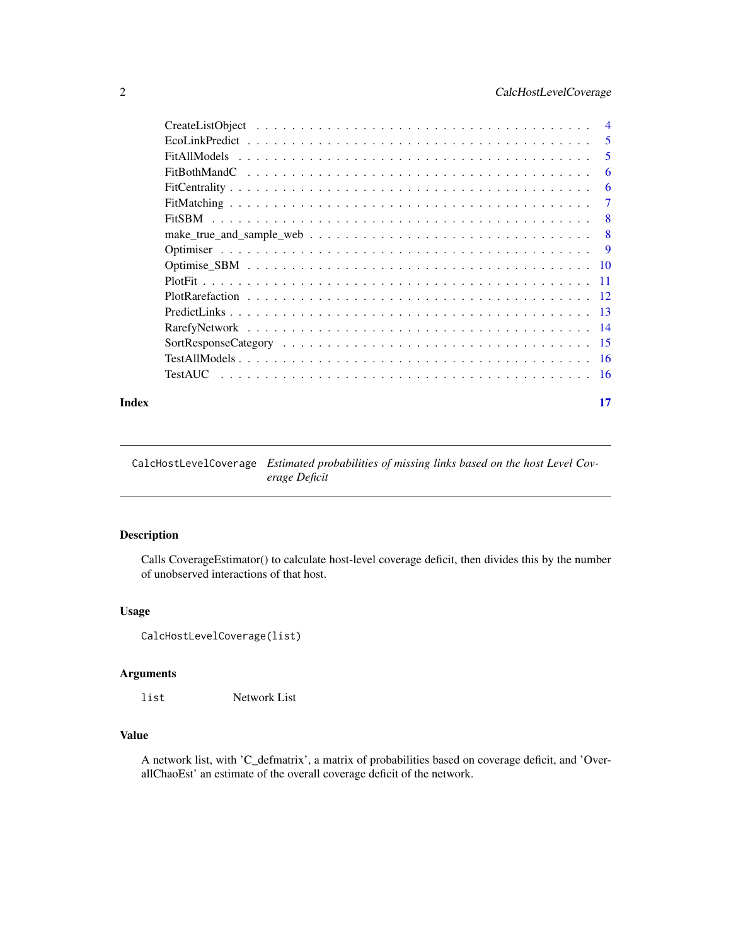## <span id="page-1-0"></span>2 CalcHostLevelCoverage

| $\overline{4}$ |
|----------------|
| .5             |
| 5              |
| 6              |
| 6              |
| 7              |
| 8              |
| 8              |
| <b>9</b>       |
| -10            |
| -11            |
| $-12$          |
|                |
|                |
|                |
|                |
| - 16           |
|                |

#### **Index** [17](#page-16-0)

CalcHostLevelCoverage *Estimated probabilities of missing links based on the host Level Coverage Deficit*

## Description

Calls CoverageEstimator() to calculate host-level coverage deficit, then divides this by the number of unobserved interactions of that host.

## Usage

```
CalcHostLevelCoverage(list)
```
## Arguments

list Network List

## Value

A network list, with 'C\_defmatrix', a matrix of probabilities based on coverage deficit, and 'OverallChaoEst' an estimate of the overall coverage deficit of the network.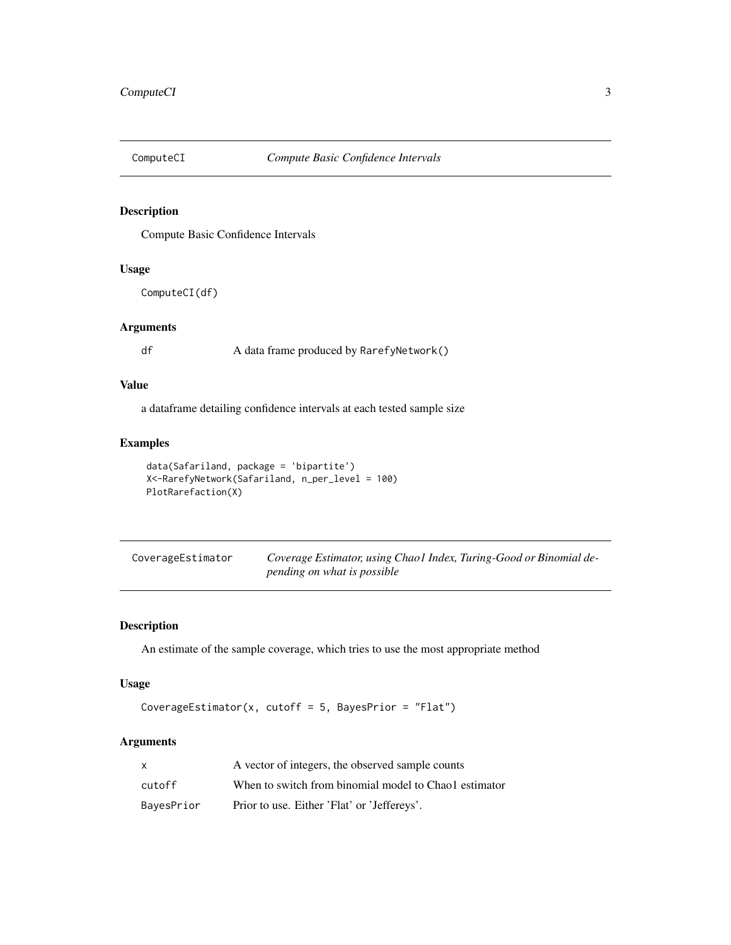<span id="page-2-0"></span>

Compute Basic Confidence Intervals

## Usage

ComputeCI(df)

#### Arguments

df A data frame produced by RarefyNetwork()

## Value

a dataframe detailing confidence intervals at each tested sample size

#### Examples

```
data(Safariland, package = 'bipartite')
X<-RarefyNetwork(Safariland, n_per_level = 100)
PlotRarefaction(X)
```

| CoverageEstimator | Coverage Estimator, using Chaol Index, Turing-Good or Binomial de- |
|-------------------|--------------------------------------------------------------------|
|                   | pending on what is possible                                        |

## Description

An estimate of the sample coverage, which tries to use the most appropriate method

## Usage

```
CoverageEstimator(x, cutoff = 5, BayesPrior = "Flat")
```
## Arguments

| X          | A vector of integers, the observed sample counts      |
|------------|-------------------------------------------------------|
| cutoff     | When to switch from binomial model to Chao lestimator |
| BayesPrior | Prior to use. Either 'Flat' or 'Jeffereys'.           |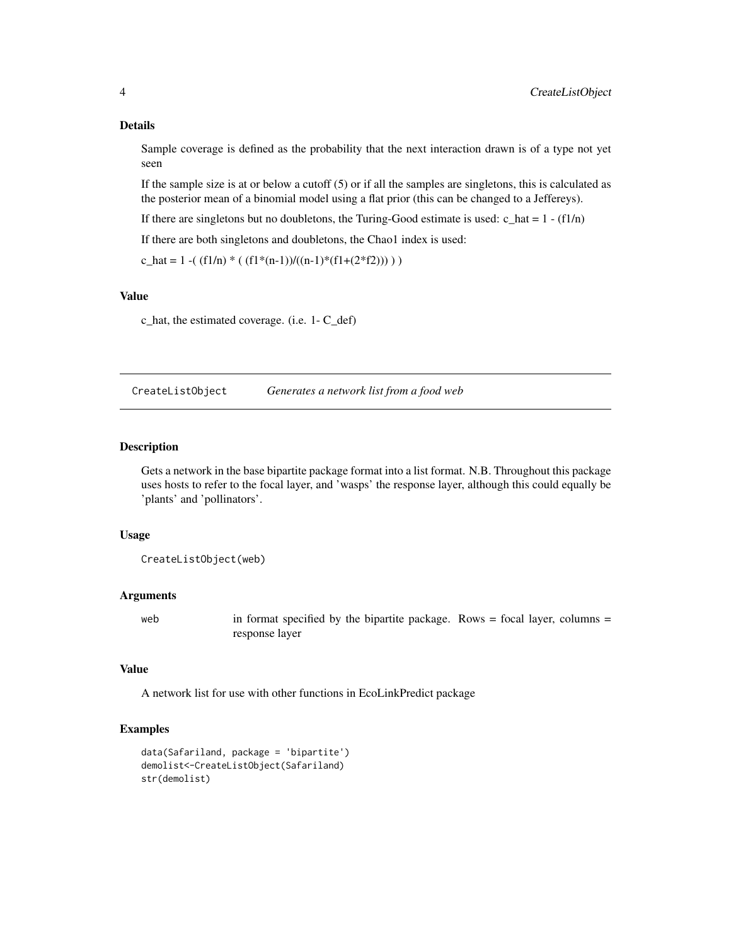#### Details

Sample coverage is defined as the probability that the next interaction drawn is of a type not yet seen

If the sample size is at or below a cutoff  $(5)$  or if all the samples are singletons, this is calculated as the posterior mean of a binomial model using a flat prior (this can be changed to a Jeffereys).

If there are singletons but no doubletons, the Turing-Good estimate is used:  $c_{hat} = 1 - (f_1/n)$ 

If there are both singletons and doubletons, the Chao1 index is used:

c\_hat = 1 -(  $(f1/n) * ( (f1*(n-1))/(n-1)*(f1+(2*f2))) )$ 

## Value

c\_hat, the estimated coverage. (i.e. 1- C\_def)

CreateListObject *Generates a network list from a food web*

#### Description

Gets a network in the base bipartite package format into a list format. N.B. Throughout this package uses hosts to refer to the focal layer, and 'wasps' the response layer, although this could equally be 'plants' and 'pollinators'.

#### Usage

```
CreateListObject(web)
```
#### Arguments

web in format specified by the bipartite package. Rows = focal layer, columns = response layer

#### Value

A network list for use with other functions in EcoLinkPredict package

## Examples

```
data(Safariland, package = 'bipartite')
demolist<-CreateListObject(Safariland)
str(demolist)
```
<span id="page-3-0"></span>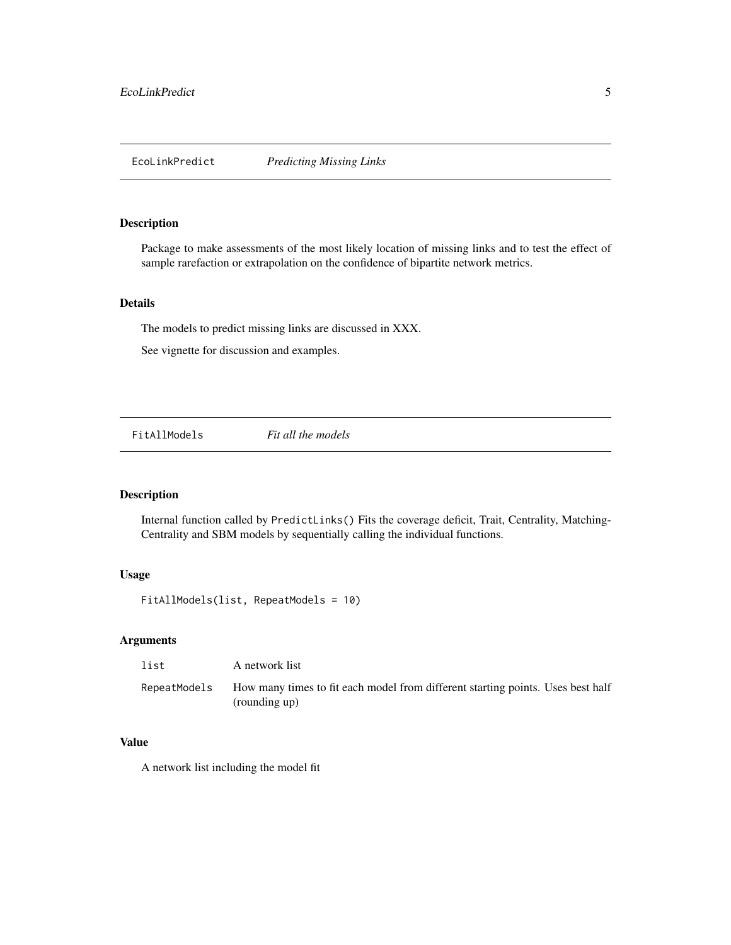<span id="page-4-0"></span>

Package to make assessments of the most likely location of missing links and to test the effect of sample rarefaction or extrapolation on the confidence of bipartite network metrics.

#### Details

The models to predict missing links are discussed in XXX.

See vignette for discussion and examples.

FitAllModels *Fit all the models*

#### Description

Internal function called by PredictLinks() Fits the coverage deficit, Trait, Centrality, Matching-Centrality and SBM models by sequentially calling the individual functions.

#### Usage

FitAllModels(list, RepeatModels = 10)

## Arguments

| list         | A network list                                                                                   |
|--------------|--------------------------------------------------------------------------------------------------|
| RepeatModels | How many times to fit each model from different starting points. Uses best half<br>(rounding up) |

## Value

A network list including the model fit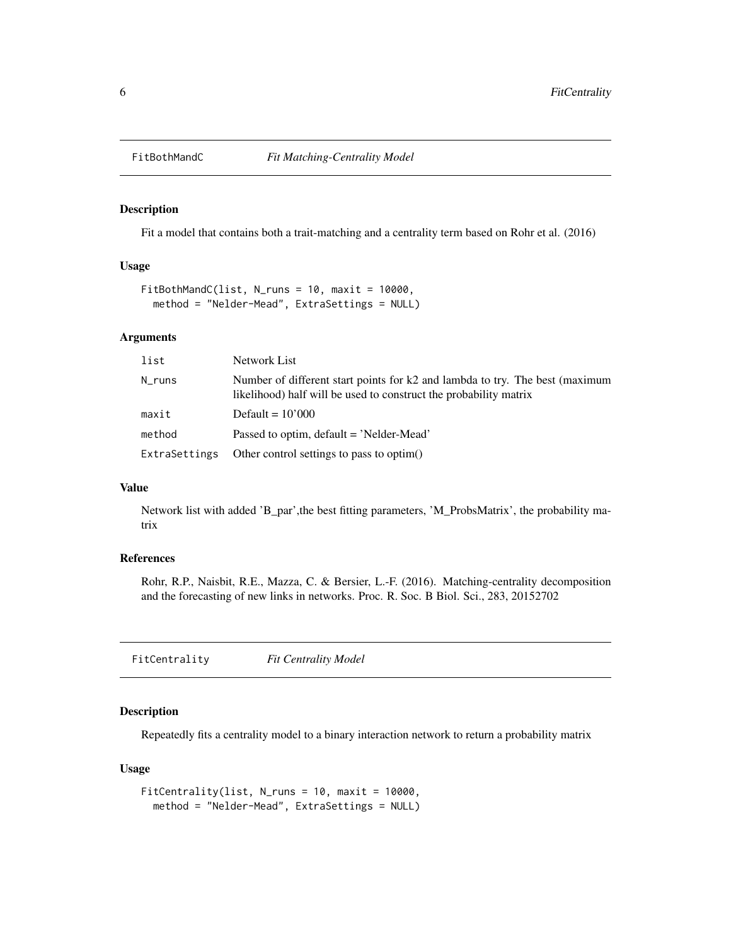<span id="page-5-0"></span>

Fit a model that contains both a trait-matching and a centrality term based on Rohr et al. (2016)

#### Usage

```
FitBothMandC(list, N_runs = 10, maxit = 10000,
 method = "Nelder-Mead", ExtraSettings = NULL)
```
#### Arguments

| list          | Network List                                                                                                                                      |
|---------------|---------------------------------------------------------------------------------------------------------------------------------------------------|
| $N_{runs}$    | Number of different start points for k2 and lambda to try. The best (maximum<br>likelihood) half will be used to construct the probability matrix |
| maxit         | Default = $10'000$                                                                                                                                |
| method        | Passed to optim, default = 'Nelder-Mead'                                                                                                          |
| ExtraSettings | Other control settings to pass to optim()                                                                                                         |

## Value

Network list with added 'B\_par',the best fitting parameters, 'M\_ProbsMatrix', the probability matrix

#### References

Rohr, R.P., Naisbit, R.E., Mazza, C. & Bersier, L.-F. (2016). Matching-centrality decomposition and the forecasting of new links in networks. Proc. R. Soc. B Biol. Sci., 283, 20152702

FitCentrality *Fit Centrality Model*

## Description

Repeatedly fits a centrality model to a binary interaction network to return a probability matrix

#### Usage

```
FitCentrality(list, N_runs = 10, maxit = 10000,
 method = "Nelder-Mead", ExtraSettings = NULL)
```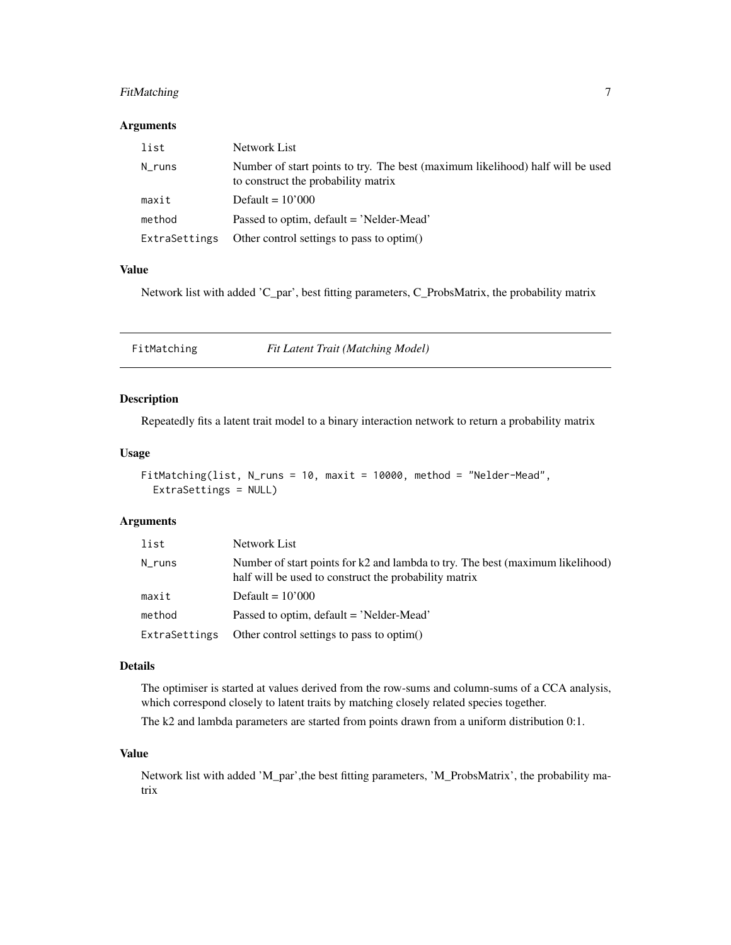## <span id="page-6-0"></span>FitMatching 7

#### Arguments

| list          | Network List                                                                                                          |
|---------------|-----------------------------------------------------------------------------------------------------------------------|
| N runs        | Number of start points to try. The best (maximum likelihood) half will be used<br>to construct the probability matrix |
| maxit         | Default $= 10'000$                                                                                                    |
| method        | Passed to optim, default = 'Nelder-Mead'                                                                              |
| ExtraSettings | Other control settings to pass to optim()                                                                             |

#### Value

Network list with added 'C\_par', best fitting parameters, C\_ProbsMatrix, the probability matrix

FitMatching *Fit Latent Trait (Matching Model)*

#### Description

Repeatedly fits a latent trait model to a binary interaction network to return a probability matrix

#### Usage

```
FitMatching(list, N_runs = 10, maxit = 10000, method = "Nelder-Mead",
 ExtraSettings = NULL)
```
#### Arguments

| list          | Network List                                                                                                                            |
|---------------|-----------------------------------------------------------------------------------------------------------------------------------------|
| N_runs        | Number of start points for k2 and lambda to try. The best (maximum likelihood)<br>half will be used to construct the probability matrix |
| maxit         | Default = $10'000$                                                                                                                      |
| method        | Passed to optim, default = 'Nelder-Mead'                                                                                                |
| ExtraSettings | Other control settings to pass to optim()                                                                                               |

#### Details

The optimiser is started at values derived from the row-sums and column-sums of a CCA analysis, which correspond closely to latent traits by matching closely related species together.

The k2 and lambda parameters are started from points drawn from a uniform distribution 0:1.

#### Value

Network list with added 'M\_par',the best fitting parameters, 'M\_ProbsMatrix', the probability matrix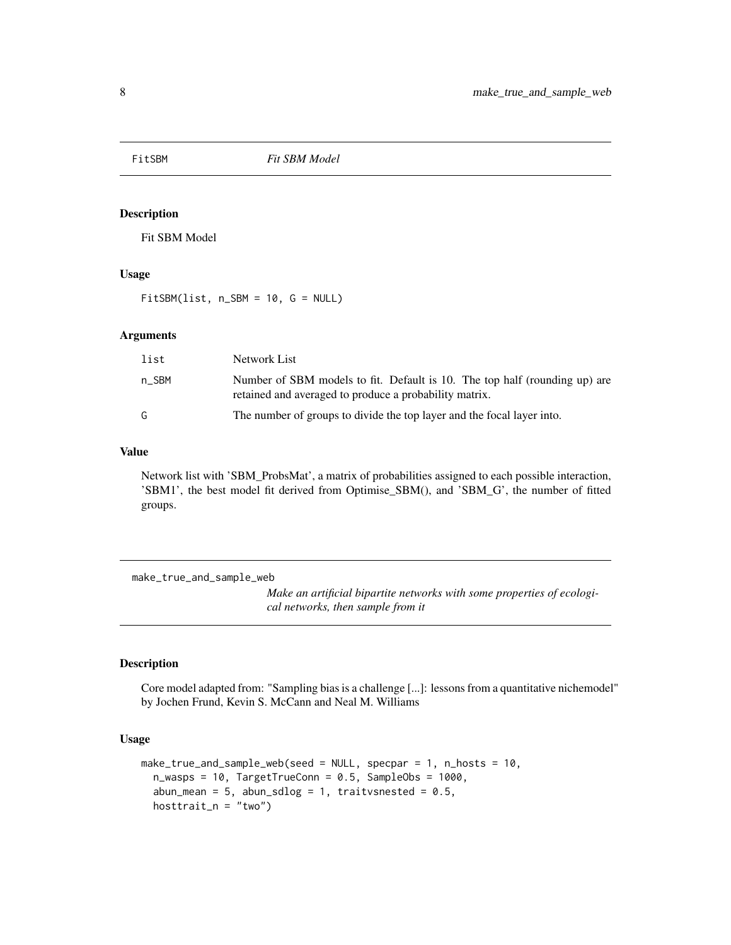<span id="page-7-0"></span>

Fit SBM Model

## Usage

FitSBM(list, n\_SBM = 10, G = NULL)

## Arguments

| list  | Network List                                                                                                                         |
|-------|--------------------------------------------------------------------------------------------------------------------------------------|
| n SBM | Number of SBM models to fit. Default is 10. The top half (rounding up) are<br>retained and averaged to produce a probability matrix. |
| G.    | The number of groups to divide the top layer and the focal layer into.                                                               |

#### Value

Network list with 'SBM\_ProbsMat', a matrix of probabilities assigned to each possible interaction, 'SBM1', the best model fit derived from Optimise\_SBM(), and 'SBM\_G', the number of fitted groups.

make\_true\_and\_sample\_web

*Make an artificial bipartite networks with some properties of ecological networks, then sample from it*

## Description

Core model adapted from: "Sampling bias is a challenge [...]: lessons from a quantitative nichemodel" by Jochen Frund, Kevin S. McCann and Neal M. Williams

#### Usage

```
make_true_and_sample_web(seed = NULL, specpar = 1, n_hosts = 10,
  n_{av}asps = 10, TargetTrueConn = 0.5, SampleObs = 1000,
  abun_mean = 5, abun_sdlog = 1, traitvsnested = 0.5,
  hosttrait_n = "two")
```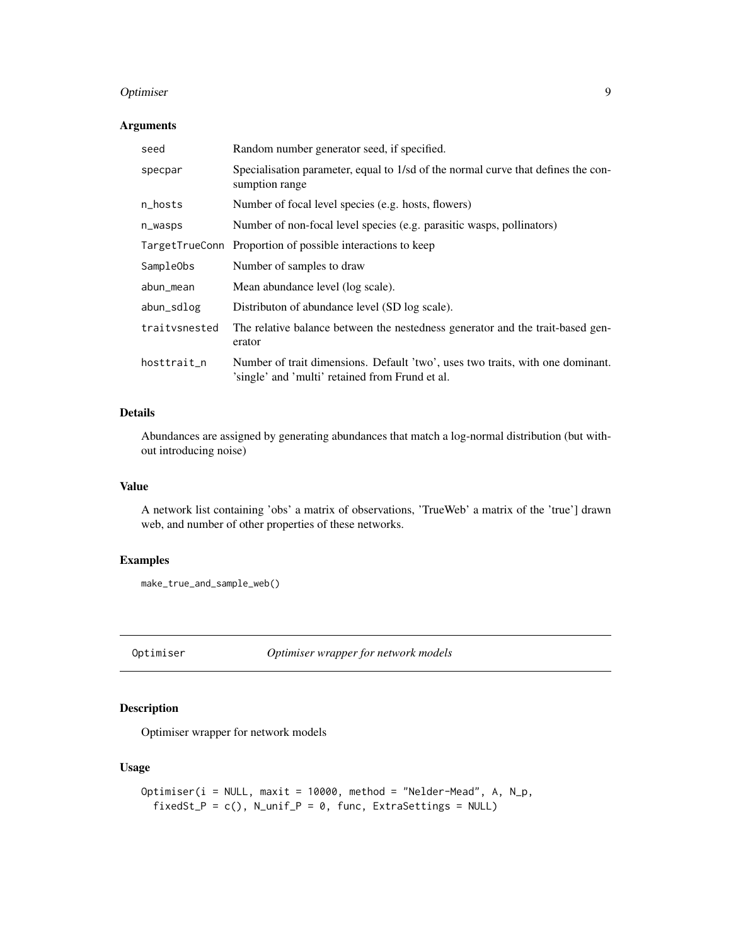#### <span id="page-8-0"></span>Optimiser 9

#### Arguments

| seed          | Random number generator seed, if specified.                                                                                       |
|---------------|-----------------------------------------------------------------------------------------------------------------------------------|
| specpar       | Specialisation parameter, equal to 1/sd of the normal curve that defines the con-<br>sumption range                               |
| n_hosts       | Number of focal level species (e.g. hosts, flowers)                                                                               |
| n_wasps       | Number of non-focal level species (e.g. parasitic wasps, pollinators)                                                             |
|               | TargetTrueConn Proportion of possible interactions to keep                                                                        |
| SampleObs     | Number of samples to draw                                                                                                         |
| abun_mean     | Mean abundance level (log scale).                                                                                                 |
| abun_sdlog    | Distributon of abundance level (SD log scale).                                                                                    |
| traitysnested | The relative balance between the nestedness generator and the trait-based gen-<br>erator                                          |
| hosttrait_n   | Number of trait dimensions. Default 'two', uses two traits, with one dominant.<br>'single' and 'multi' retained from Frund et al. |

#### Details

Abundances are assigned by generating abundances that match a log-normal distribution (but without introducing noise)

## Value

A network list containing 'obs' a matrix of observations, 'TrueWeb' a matrix of the 'true'] drawn web, and number of other properties of these networks.

#### Examples

```
make_true_and_sample_web()
```
Optimiser *Optimiser wrapper for network models*

## Description

Optimiser wrapper for network models

## Usage

```
Optimiser(i = NULL, maxit = 10000, method = "Nelder-Mead", A, N_p,
 fixedSt_P = c(), N_unif_P = 0, func, ExtraSettings = NULL)
```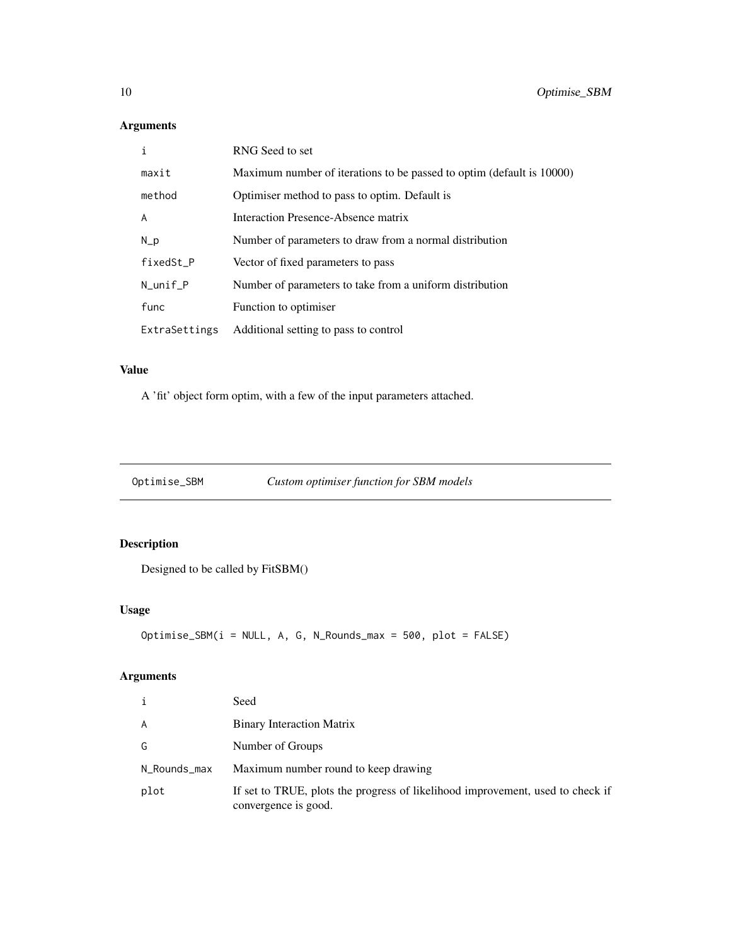## Arguments

| i              | RNG Seed to set                                                       |
|----------------|-----------------------------------------------------------------------|
| maxit          | Maximum number of iterations to be passed to optim (default is 10000) |
| method         | Optimiser method to pass to optim. Default is                         |
| $\overline{A}$ | Interaction Presence-Absence matrix                                   |
| $N_p$          | Number of parameters to draw from a normal distribution               |
| fixedSt_P      | Vector of fixed parameters to pass                                    |
| $N\_unit_P$    | Number of parameters to take from a uniform distribution              |
| func           | Function to optimiser                                                 |
| ExtraSettings  | Additional setting to pass to control                                 |

## Value

A 'fit' object form optim, with a few of the input parameters attached.

Optimise\_SBM *Custom optimiser function for SBM models*

## Description

Designed to be called by FitSBM()

## Usage

```
Optimise_SBM(i = NULL, A, G, N_Rounds_max = 500, plot = FALSE)
```
## Arguments

| i            | Seed                                                                                                   |
|--------------|--------------------------------------------------------------------------------------------------------|
| A            | <b>Binary Interaction Matrix</b>                                                                       |
| G            | Number of Groups                                                                                       |
| N_Rounds_max | Maximum number round to keep drawing                                                                   |
| plot         | If set to TRUE, plots the progress of likelihood improvement, used to check if<br>convergence is good. |

<span id="page-9-0"></span>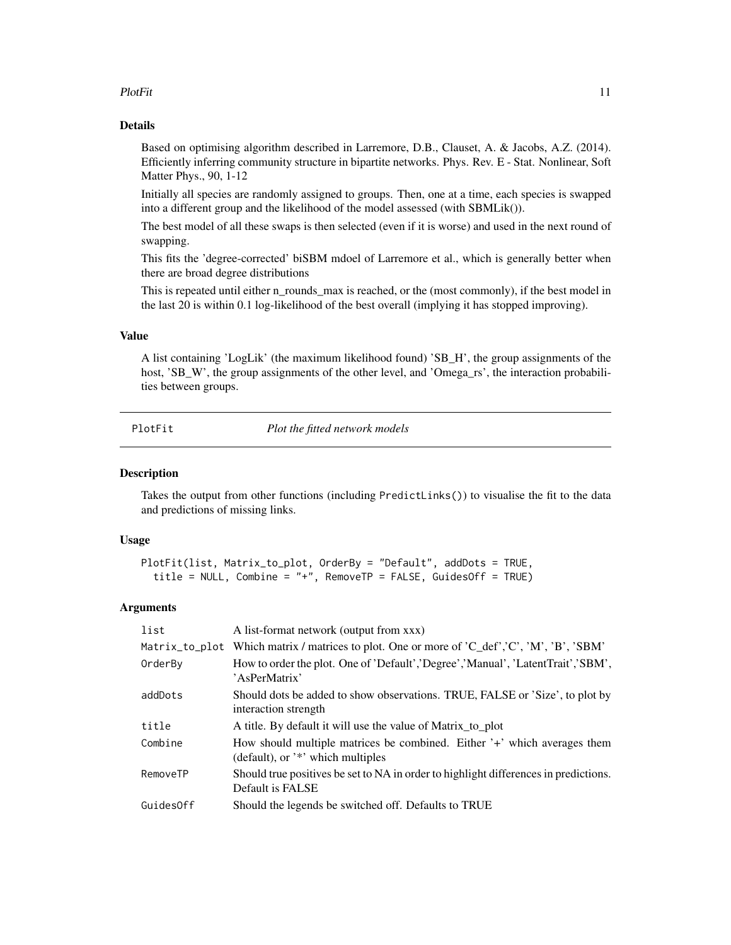#### <span id="page-10-0"></span>PlotFit 11

#### Details

Based on optimising algorithm described in Larremore, D.B., Clauset, A. & Jacobs, A.Z. (2014). Efficiently inferring community structure in bipartite networks. Phys. Rev. E - Stat. Nonlinear, Soft Matter Phys., 90, 1-12

Initially all species are randomly assigned to groups. Then, one at a time, each species is swapped into a different group and the likelihood of the model assessed (with SBMLik()).

The best model of all these swaps is then selected (even if it is worse) and used in the next round of swapping.

This fits the 'degree-corrected' biSBM mdoel of Larremore et al., which is generally better when there are broad degree distributions

This is repeated until either n\_rounds\_max is reached, or the (most commonly), if the best model in the last 20 is within 0.1 log-likelihood of the best overall (implying it has stopped improving).

#### Value

A list containing 'LogLik' (the maximum likelihood found) 'SB\_H', the group assignments of the host, 'SB\_W', the group assignments of the other level, and 'Omega\_rs', the interaction probabilities between groups.

PlotFit *Plot the fitted network models*

#### **Description**

Takes the output from other functions (including PredictLinks()) to visualise the fit to the data and predictions of missing links.

#### Usage

```
PlotFit(list, Matrix_to_plot, OrderBy = "Default", addDots = TRUE,
  title = NULL, Combine = "+", RemoveTP = FALSE, GuidesOff = TRUE)
```
#### Arguments

| list           | A list-format network (output from xxx)                                                                       |
|----------------|---------------------------------------------------------------------------------------------------------------|
| Matrix_to_plot | Which matrix / matrices to plot. One or more of $^{\prime}C_{\phantom{\prime}}$ def', 'C', 'M', 'B', 'SBM'    |
| OrderBy        | How to order the plot. One of 'Default', 'Degree', 'Manual', 'LatentTrait', 'SBM',<br>'AsPerMatrix'           |
| addDots        | Should dots be added to show observations. TRUE, FALSE or 'Size', to plot by<br>interaction strength          |
| title          | A title. By default it will use the value of Matrix_to_plot                                                   |
| Combine        | How should multiple matrices be combined. Either '+' which averages them<br>(default), or '*' which multiples |
| RemoveTP       | Should true positives be set to NA in order to highlight differences in predictions.<br>Default is FALSE      |
| GuidesOff      | Should the legends be switched off. Defaults to TRUE                                                          |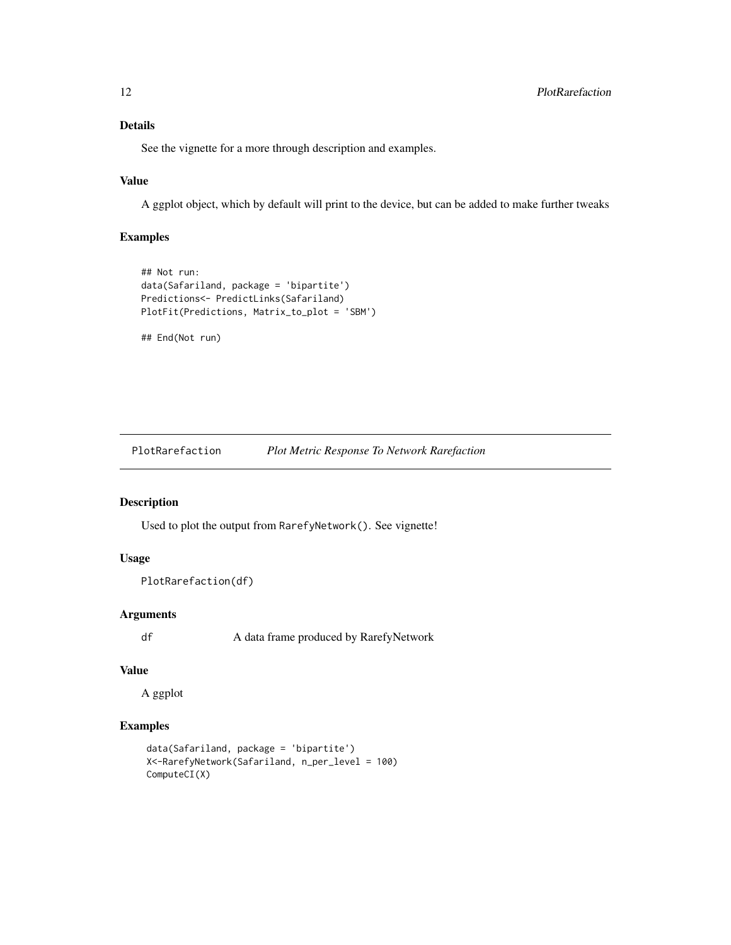## Details

See the vignette for a more through description and examples.

## Value

A ggplot object, which by default will print to the device, but can be added to make further tweaks

#### Examples

```
## Not run:
data(Safariland, package = 'bipartite')
Predictions<- PredictLinks(Safariland)
PlotFit(Predictions, Matrix_to_plot = 'SBM')
```
## End(Not run)

PlotRarefaction *Plot Metric Response To Network Rarefaction*

## Description

Used to plot the output from RarefyNetwork(). See vignette!

## Usage

```
PlotRarefaction(df)
```
#### Arguments

df A data frame produced by RarefyNetwork

#### Value

A ggplot

## Examples

```
data(Safariland, package = 'bipartite')
X<-RarefyNetwork(Safariland, n_per_level = 100)
ComputeCI(X)
```
<span id="page-11-0"></span>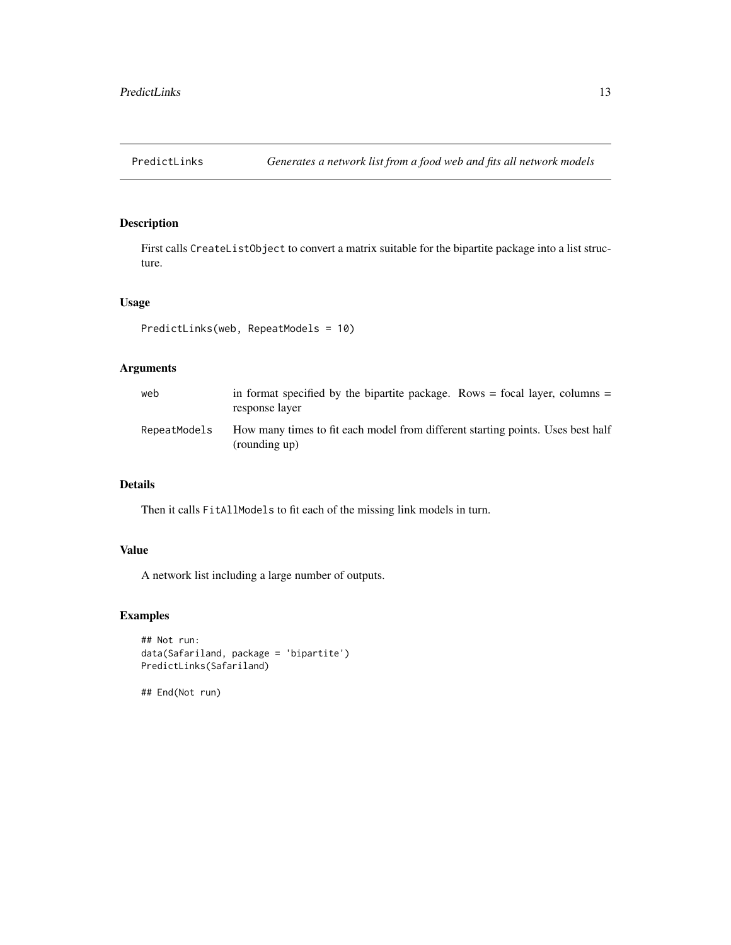<span id="page-12-0"></span>

First calls CreateListObject to convert a matrix suitable for the bipartite package into a list structure.

#### Usage

```
PredictLinks(web, RepeatModels = 10)
```
## Arguments

| web          | in format specified by the bipartite package. Rows $=$ focal layer, columns $=$<br>response layer |
|--------------|---------------------------------------------------------------------------------------------------|
| RepeatModels | How many times to fit each model from different starting points. Uses best half<br>(rounding up)  |

#### Details

Then it calls FitAllModels to fit each of the missing link models in turn.

#### Value

A network list including a large number of outputs.

## Examples

```
## Not run:
data(Safariland, package = 'bipartite')
PredictLinks(Safariland)
```
## End(Not run)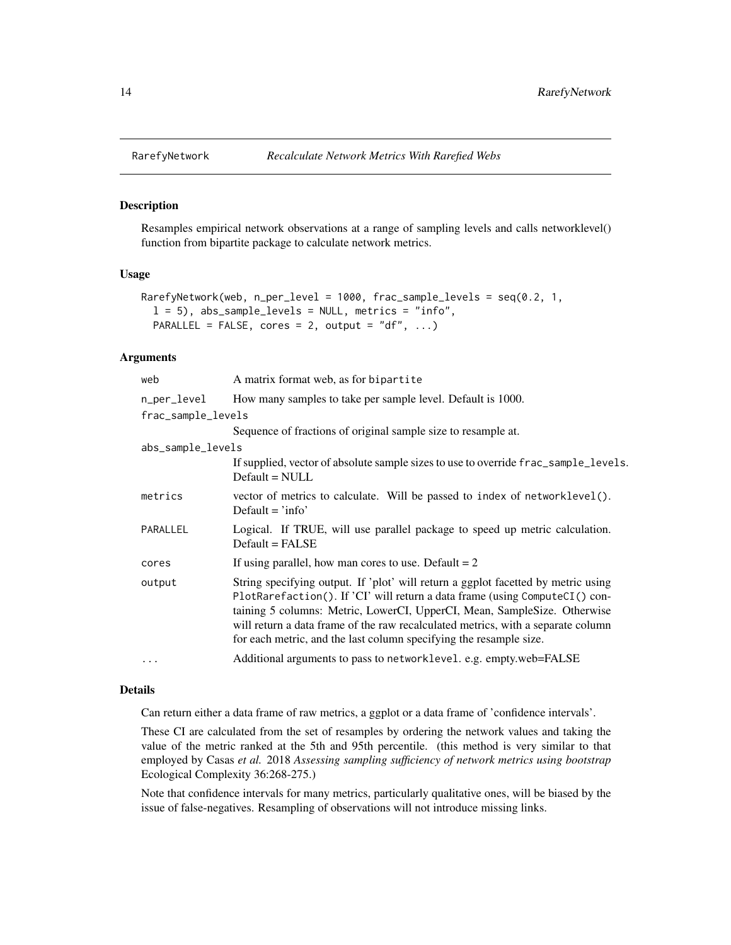Resamples empirical network observations at a range of sampling levels and calls networklevel() function from bipartite package to calculate network metrics.

## Usage

```
RarefyNetwork(web, n_per_level = 1000, frac_sample_levels = seq(0.2, 1,
  l = 5), abs_sample_levels = NULL, metrics = "info",
 PARALLEL = FALSE, cores = 2, output = "df", \dots)
```
#### Arguments

| web                | A matrix format web, as for bipartite                                                                                                                                                                                                                                                                                                                                                                  |  |
|--------------------|--------------------------------------------------------------------------------------------------------------------------------------------------------------------------------------------------------------------------------------------------------------------------------------------------------------------------------------------------------------------------------------------------------|--|
| n_per_level        | How many samples to take per sample level. Default is 1000.                                                                                                                                                                                                                                                                                                                                            |  |
| frac_sample_levels |                                                                                                                                                                                                                                                                                                                                                                                                        |  |
|                    | Sequence of fractions of original sample size to resample at.                                                                                                                                                                                                                                                                                                                                          |  |
| abs_sample_levels  |                                                                                                                                                                                                                                                                                                                                                                                                        |  |
|                    | If supplied, vector of absolute sample sizes to use to override frac_sample_levels.<br>$Default = NULL$                                                                                                                                                                                                                                                                                                |  |
| metrics            | vector of metrics to calculate. Will be passed to index of networklevel().<br>Default $=$ 'info'                                                                                                                                                                                                                                                                                                       |  |
| PARALLEL           | Logical. If TRUE, will use parallel package to speed up metric calculation.<br>$Default = FALSE$                                                                                                                                                                                                                                                                                                       |  |
| cores              | If using parallel, how man cores to use. Default $= 2$                                                                                                                                                                                                                                                                                                                                                 |  |
| output             | String specifying output. If 'plot' will return a ggplot facetted by metric using<br>PlotRarefaction(). If 'CI' will return a data frame (using ComputeCI() con-<br>taining 5 columns: Metric, LowerCI, UpperCI, Mean, SampleSize. Otherwise<br>will return a data frame of the raw recalculated metrics, with a separate column<br>for each metric, and the last column specifying the resample size. |  |
| $\cdots$           | Additional arguments to pass to networklevel. e.g. empty.web=FALSE                                                                                                                                                                                                                                                                                                                                     |  |
|                    |                                                                                                                                                                                                                                                                                                                                                                                                        |  |

#### Details

Can return either a data frame of raw metrics, a ggplot or a data frame of 'confidence intervals'.

These CI are calculated from the set of resamples by ordering the network values and taking the value of the metric ranked at the 5th and 95th percentile. (this method is very similar to that employed by Casas *et al.* 2018 *Assessing sampling sufficiency of network metrics using bootstrap* Ecological Complexity 36:268-275.)

Note that confidence intervals for many metrics, particularly qualitative ones, will be biased by the issue of false-negatives. Resampling of observations will not introduce missing links.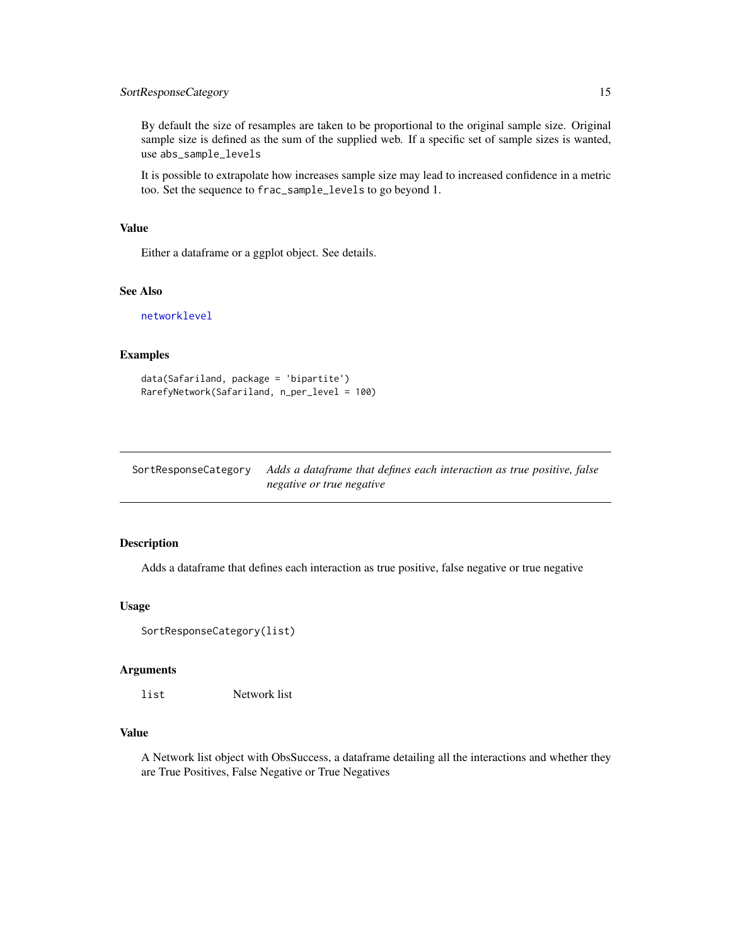## <span id="page-14-0"></span>SortResponseCategory 15

By default the size of resamples are taken to be proportional to the original sample size. Original sample size is defined as the sum of the supplied web. If a specific set of sample sizes is wanted, use abs\_sample\_levels

It is possible to extrapolate how increases sample size may lead to increased confidence in a metric too. Set the sequence to frac\_sample\_levels to go beyond 1.

#### Value

Either a dataframe or a ggplot object. See details.

## See Also

[networklevel](#page-0-0)

#### Examples

```
data(Safariland, package = 'bipartite')
RarefyNetwork(Safariland, n_per_level = 100)
```
SortResponseCategory *Adds a dataframe that defines each interaction as true positive, false negative or true negative*

#### Description

Adds a dataframe that defines each interaction as true positive, false negative or true negative

#### Usage

```
SortResponseCategory(list)
```
#### Arguments

list Network list

## Value

A Network list object with ObsSuccess, a dataframe detailing all the interactions and whether they are True Positives, False Negative or True Negatives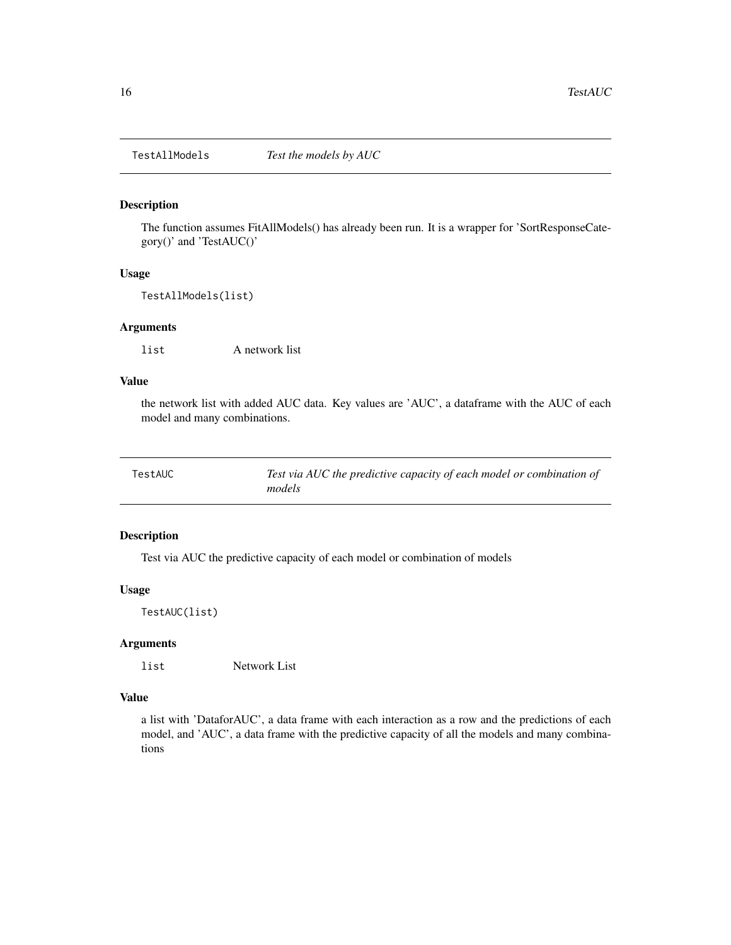<span id="page-15-0"></span>

The function assumes FitAllModels() has already been run. It is a wrapper for 'SortResponseCategory()' and 'TestAUC()'

#### Usage

TestAllModels(list)

#### Arguments

list A network list

## Value

the network list with added AUC data. Key values are 'AUC', a dataframe with the AUC of each model and many combinations.

| TestAUC | Test via AUC the predictive capacity of each model or combination of |
|---------|----------------------------------------------------------------------|
|         | models                                                               |

## Description

Test via AUC the predictive capacity of each model or combination of models

#### Usage

TestAUC(list)

#### Arguments

list Network List

#### Value

a list with 'DataforAUC', a data frame with each interaction as a row and the predictions of each model, and 'AUC', a data frame with the predictive capacity of all the models and many combinations